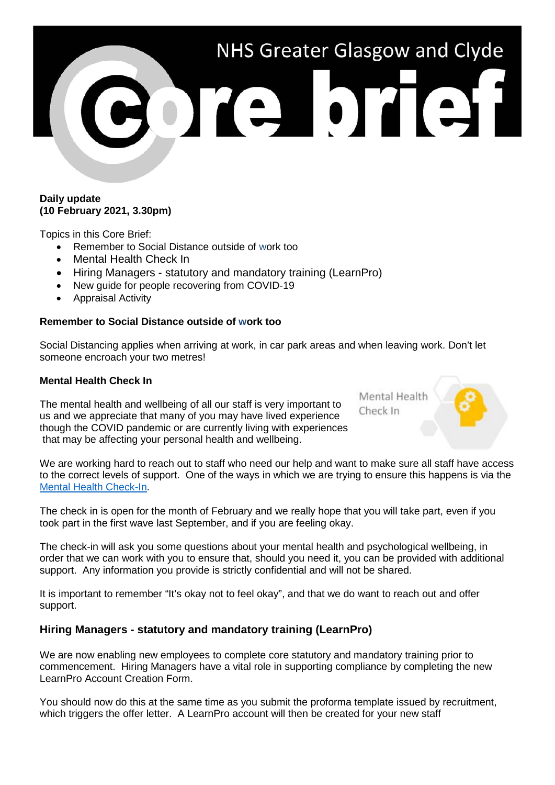# NHS Greater Glasgow and Clyde bre brief

#### **Daily update (10 February 2021, 3.30pm)**

Topics in this Core Brief:

- Remember to Social Distance outside of work too
- Mental Health Check In
- Hiring Managers statutory and mandatory training (LearnPro)
- New guide for people recovering from COVID-19
- Appraisal Activity

## **Remember to Social Distance outside of work too**

Social Distancing applies when arriving at work, in car park areas and when leaving work. Don't let someone encroach your two metres!

## **Mental Health Check In**

The mental health and wellbeing of all our staff is very important to us and we appreciate that many of you may have lived experience though the COVID pandemic or are currently living with experiences that may be affecting your personal health and wellbeing.

We are working hard to reach out to staff who need our help and want to make sure all staff have access to the correct levels of support. One of the ways in which we are trying to ensure this happens is via the [Mental Health Check-In.](https://www.nhsggc.org.uk/about-us/professional-support-sites/mental-health-check-in/survey/)

The check in is open for the month of February and we really hope that you will take part, even if you took part in the first wave last September, and if you are feeling okay.

The check-in will ask you some questions about your mental health and psychological wellbeing, in order that we can work with you to ensure that, should you need it, you can be provided with additional support. Any information you provide is strictly confidential and will not be shared.

It is important to remember "It's okay not to feel okay", and that we do want to reach out and offer support.

# **Hiring Managers - statutory and mandatory training (LearnPro)**

We are now enabling new employees to complete core statutory and mandatory training prior to commencement. Hiring Managers have a vital role in supporting compliance by completing the new LearnPro Account Creation Form.

You should now do this at the same time as you submit the proforma template issued by recruitment, which triggers the offer letter. A LearnPro account will then be created for your new staff

Mental Health Check In